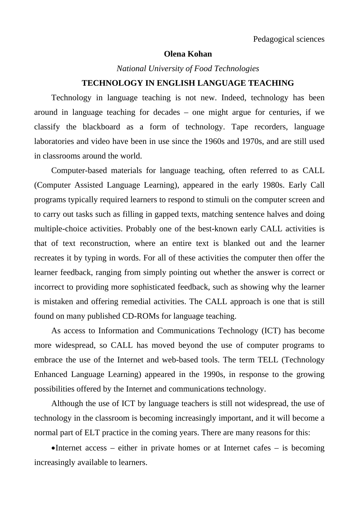## **Olena Kohan**

*National University of Food Technologies* 

## **TECHNOLOGY IN ENGLISH LANGUAGE TEACHING**

Technology in language teaching is not new. Indeed, technology has been around in language teaching for decades – one might argue for centuries, if we classify the blackboard as a form of technology. Tape recorders, language laboratories and video have been in use since the 1960s and 1970s, and are still used in classrooms around the world.

Computer-based materials for language teaching, often referred to as CALL (Computer Assisted Language Learning), appeared in the early 1980s. Early Call programs typically required learners to respond to stimuli on the computer screen and to carry out tasks such as filling in gapped texts, matching sentence halves and doing multiple-choice activities. Probably one of the best-known early CALL activities is that of text reconstruction, where an entire text is blanked out and the learner recreates it by typing in words. For all of these activities the computer then offer the learner feedback, ranging from simply pointing out whether the answer is correct or incorrect to providing more sophisticated feedback, such as showing why the learner is mistaken and offering remedial activities. The CALL approach is one that is still found on many published CD-ROMs for language teaching.

As access to Information and Communications Technology (ICT) has become more widespread, so CALL has moved beyond the use of computer programs to embrace the use of the Internet and web-based tools. The term TELL (Technology Enhanced Language Learning) appeared in the 1990s, in response to the growing possibilities offered by the Internet and communications technology.

Although the use of ICT by language teachers is still not widespread, the use of technology in the classroom is becoming increasingly important, and it will become a normal part of ELT practice in the coming years. There are many reasons for this:

• Internet access – either in private homes or at Internet cafes – is becoming increasingly available to learners.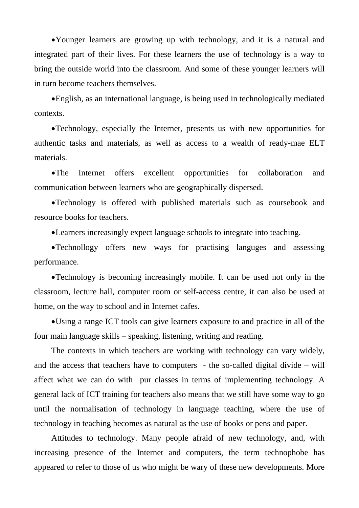Younger learners are growing up with technology, and it is a natural and integrated part of their lives. For these learners the use of technology is a way to bring the outside world into the classroom. And some of these younger learners will in turn become teachers themselves.

English, as an international language, is being used in technologically mediated contexts.

Technology, especially the Internet, presents us with new opportunities for authentic tasks and materials, as well as access to a wealth of ready-mae ELT materials.

The Internet offers excellent opportunities for collaboration and communication between learners who are geographically dispersed.

Technology is offered with published materials such as coursebook and resource books for teachers.

Learners increasingly expect language schools to integrate into teaching.

Technollogy offers new ways for practising languges and assessing performance.

Technology is becoming increasingly mobile. It can be used not only in the classroom, lecture hall, computer room or self-access centre, it can also be used at home, on the way to school and in Internet cafes.

Using a range ICT tools can give learners exposure to and practice in all of the four main language skills – speaking, listening, writing and reading.

The contexts in which teachers are working with technology can vary widely, and the access that teachers have to computers - the so-called digital divide – will affect what we can do with pur classes in terms of implementing technology. A general lack of ICT training for teachers also means that we still have some way to go until the normalisation of technology in language teaching, where the use of technology in teaching becomes as natural as the use of books or pens and paper.

Attitudes to technology. Many people afraid of new technology, and, with increasing presence of the Internet and computers, the term technophobe has appeared to refer to those of us who might be wary of these new developments. More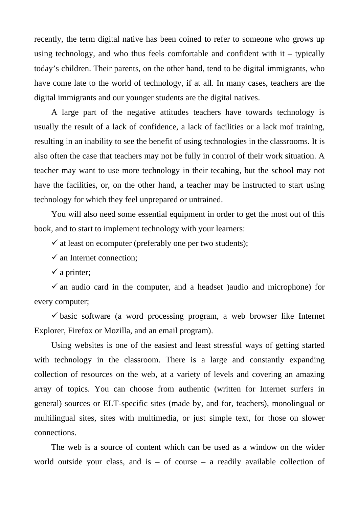recently, the term digital native has been coined to refer to someone who grows up using technology, and who thus feels comfortable and confident with  $it -$  typically today's children. Their parents, on the other hand, tend to be digital immigrants, who have come late to the world of technology, if at all. In many cases, teachers are the digital immigrants and our younger students are the digital natives.

A large part of the negative attitudes teachers have towards technology is usually the result of a lack of confidence, a lack of facilities or a lack mof training, resulting in an inability to see the benefit of using technologies in the classrooms. It is also often the case that teachers may not be fully in control of their work situation. A teacher may want to use more technology in their tecahing, but the school may not have the facilities, or, on the other hand, a teacher may be instructed to start using technology for which they feel unprepared or untrained.

You will also need some essential equipment in order to get the most out of this book, and to start to implement technology with your learners:

 $\checkmark$  at least on ecomputer (preferably one per two students);

 $\checkmark$  an Internet connection;

 $\checkmark$  a printer;

 $\checkmark$  an audio card in the computer, and a headset )audio and microphone) for every computer;

 $\checkmark$  basic software (a word processing program, a web browser like Internet Explorer, Firefox or Mozilla, and an email program).

Using websites is one of the easiest and least stressful ways of getting started with technology in the classroom. There is a large and constantly expanding collection of resources on the web, at a variety of levels and covering an amazing array of topics. You can choose from authentic (written for Internet surfers in general) sources or ELT-specific sites (made by, and for, teachers), monolingual or multilingual sites, sites with multimedia, or just simple text, for those on slower connections.

The web is a source of content which can be used as a window on the wider world outside your class, and is  $-$  of course  $-$  a readily available collection of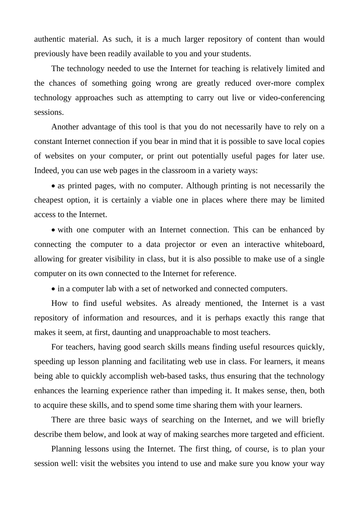authentic material. As such, it is a much larger repository of content than would previously have been readily available to you and your students.

The technology needed to use the Internet for teaching is relatively limited and the chances of something going wrong are greatly reduced over-more complex technology approaches such as attempting to carry out live or video-conferencing sessions.

Another advantage of this tool is that you do not necessarily have to rely on a constant Internet connection if you bear in mind that it is possible to save local copies of websites on your computer, or print out potentially useful pages for later use. Indeed, you can use web pages in the classroom in a variety ways:

• as printed pages, with no computer. Although printing is not necessarily the cheapest option, it is certainly a viable one in places where there may be limited access to the Internet.

• with one computer with an Internet connection. This can be enhanced by connecting the computer to a data projector or even an interactive whiteboard, allowing for greater visibility in class, but it is also possible to make use of a single computer on its own connected to the Internet for reference.

• in a computer lab with a set of networked and connected computers.

How to find useful websites. As already mentioned, the Internet is a vast repository of information and resources, and it is perhaps exactly this range that makes it seem, at first, daunting and unapproachable to most teachers.

For teachers, having good search skills means finding useful resources quickly, speeding up lesson planning and facilitating web use in class. For learners, it means being able to quickly accomplish web-based tasks, thus ensuring that the technology enhances the learning experience rather than impeding it. It makes sense, then, both to acquire these skills, and to spend some time sharing them with your learners.

There are three basic ways of searching on the Internet, and we will briefly describe them below, and look at way of making searches more targeted and efficient.

Planning lessons using the Internet. The first thing, of course, is to plan your session well: visit the websites you intend to use and make sure you know your way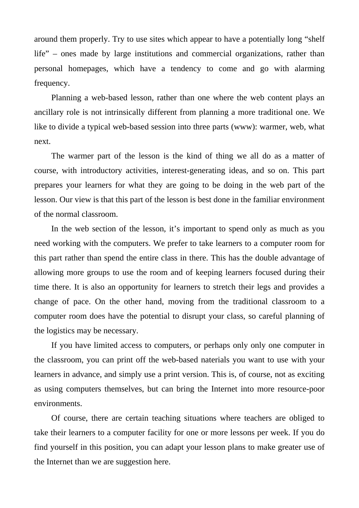around them properly. Try to use sites which appear to have a potentially long "shelf life" – ones made by large institutions and commercial organizations, rather than personal homepages, which have a tendency to come and go with alarming frequency.

Planning a web-based lesson, rather than one where the web content plays an ancillary role is not intrinsically different from planning a more traditional one. We like to divide a typical web-based session into three parts (www): warmer, web, what next.

The warmer part of the lesson is the kind of thing we all do as a matter of course, with introductory activities, interest-generating ideas, and so on. This part prepares your learners for what they are going to be doing in the web part of the lesson. Our view is that this part of the lesson is best done in the familiar environment of the normal classroom.

In the web section of the lesson, it's important to spend only as much as you need working with the computers. We prefer to take learners to a computer room for this part rather than spend the entire class in there. This has the double advantage of allowing more groups to use the room and of keeping learners focused during their time there. It is also an opportunity for learners to stretch their legs and provides a change of pace. On the other hand, moving from the traditional classroom to a computer room does have the potential to disrupt your class, so careful planning of the logistics may be necessary.

If you have limited access to computers, or perhaps only only one computer in the classroom, you can print off the web-based naterials you want to use with your learners in advance, and simply use a print version. This is, of course, not as exciting as using computers themselves, but can bring the Internet into more resource-poor environments.

Of course, there are certain teaching situations where teachers are obliged to take their learners to a computer facility for one or more lessons per week. If you do find yourself in this position, you can adapt your lesson plans to make greater use of the Internet than we are suggestion here.